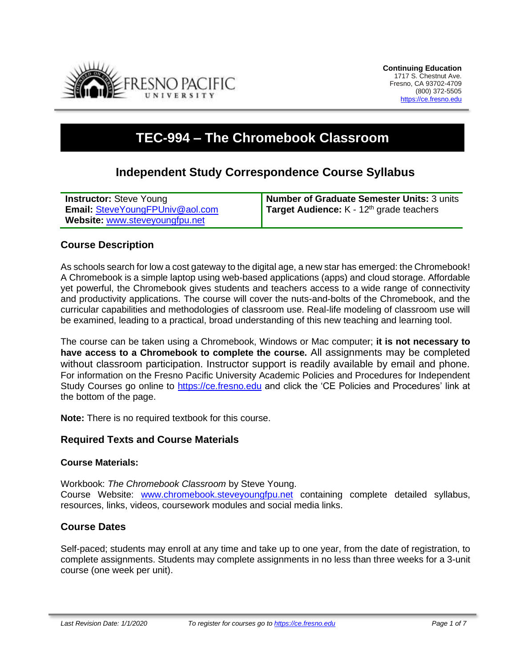

# **TEC-994 – The Chromebook Classroom**

# **Independent Study Correspondence Course Syllabus**

| <b>Instructor:</b> Steve Young         | Number of Graduate Semester Units: 3 units           |
|----------------------------------------|------------------------------------------------------|
| <b>Email: SteveYoungFPUniv@aol.com</b> | Target Audience: K - 12 <sup>th</sup> grade teachers |
| Website: www.steveyoungfpu.net         |                                                      |

## **Course Description**

As schools search for low a cost gateway to the digital age, a new star has emerged: the Chromebook! A Chromebook is a simple laptop using web-based applications (apps) and cloud storage. Affordable yet powerful, the Chromebook gives students and teachers access to a wide range of connectivity and productivity applications. The course will cover the nuts-and-bolts of the Chromebook, and the curricular capabilities and methodologies of classroom use. Real-life modeling of classroom use will be examined, leading to a practical, broad understanding of this new teaching and learning tool.

The course can be taken using a Chromebook, Windows or Mac computer; **it is not necessary to have access to a Chromebook to complete the course.** All assignments may be completed without classroom participation. Instructor support is readily available by email and phone. For information on the Fresno Pacific University Academic Policies and Procedures for Independent Study Courses go online to [https://ce.fresno.edu](https://ce.fresno.edu/) and click the 'CE Policies and Procedures' link at the bottom of the page.

**Note:** There is no required textbook for this course.

#### **Required Texts and Course Materials**

#### **Course Materials:**

Workbook: *The Chromebook Classroom* by Steve Young. Course Website: [www.chromebook.steveyoungfpu.net](http://www.chromebook.steveyoungfpu.net/) containing complete detailed syllabus, resources, links, videos, coursework modules and social media links.

## **Course Dates**

Self-paced; students may enroll at any time and take up to one year, from the date of registration, to complete assignments. Students may complete assignments in no less than three weeks for a 3-unit course (one week per unit).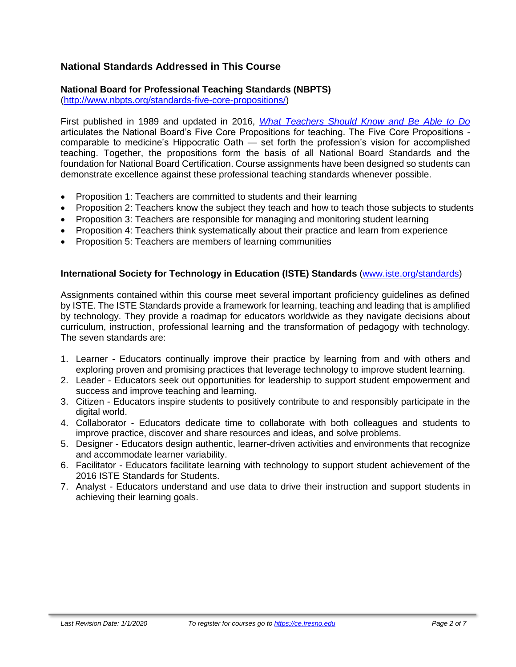# **National Standards Addressed in This Course**

# **National Board for Professional Teaching Standards (NBPTS)**

[\(http://www.nbpts.org/standards-five-core-propositions/\)](http://www.nbpts.org/standards-five-core-propositions/)

First published in 1989 and updated in 2016, *[What Teachers Should Know and Be Able to Do](http://www.accomplishedteacher.org/)* articulates the National Board's Five Core Propositions for teaching. The Five Core Propositions comparable to medicine's Hippocratic Oath — set forth the profession's vision for accomplished teaching. Together, the propositions form the basis of all National Board Standards and the foundation for National Board Certification. Course assignments have been designed so students can demonstrate excellence against these professional teaching standards whenever possible.

- Proposition 1: Teachers are committed to students and their learning
- Proposition 2: Teachers know the subject they teach and how to teach those subjects to students
- Proposition 3: Teachers are responsible for managing and monitoring student learning
- Proposition 4: Teachers think systematically about their practice and learn from experience
- Proposition 5: Teachers are members of learning communities

#### **International Society for Technology in Education (ISTE) Standards** [\(www.iste.org/standards\)](http://www.iste.org/standards)

Assignments contained within this course meet several important proficiency guidelines as defined by ISTE. The ISTE Standards provide a framework for learning, teaching and leading that is amplified by technology. They provide a roadmap for educators worldwide as they navigate decisions about curriculum, instruction, professional learning and the transformation of pedagogy with technology. The seven standards are:

- 1. Learner Educators continually improve their practice by learning from and with others and exploring proven and promising practices that leverage technology to improve student learning.
- 2. Leader Educators seek out opportunities for leadership to support student empowerment and success and improve teaching and learning.
- 3. Citizen Educators inspire students to positively contribute to and responsibly participate in the digital world.
- 4. Collaborator Educators dedicate time to collaborate with both colleagues and students to improve practice, discover and share resources and ideas, and solve problems.
- 5. Designer Educators design authentic, learner-driven activities and environments that recognize and accommodate learner variability.
- 6. Facilitator Educators facilitate learning with technology to support student achievement of the 2016 ISTE Standards for Students.
- 7. Analyst Educators understand and use data to drive their instruction and support students in achieving their learning goals.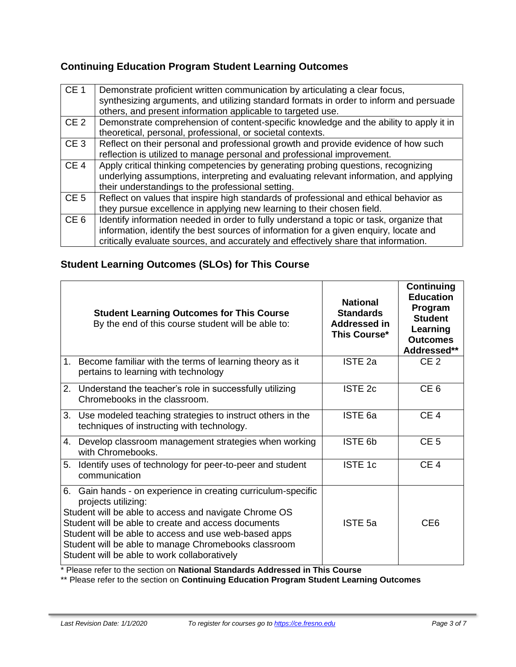# **Continuing Education Program Student Learning Outcomes**

| CE <sub>1</sub> | Demonstrate proficient written communication by articulating a clear focus,<br>synthesizing arguments, and utilizing standard formats in order to inform and persuade<br>others, and present information applicable to targeted use.                                    |
|-----------------|-------------------------------------------------------------------------------------------------------------------------------------------------------------------------------------------------------------------------------------------------------------------------|
| CE <sub>2</sub> | Demonstrate comprehension of content-specific knowledge and the ability to apply it in<br>theoretical, personal, professional, or societal contexts.                                                                                                                    |
| CE <sub>3</sub> | Reflect on their personal and professional growth and provide evidence of how such<br>reflection is utilized to manage personal and professional improvement.                                                                                                           |
| CE <sub>4</sub> | Apply critical thinking competencies by generating probing questions, recognizing<br>underlying assumptions, interpreting and evaluating relevant information, and applying<br>their understandings to the professional setting.                                        |
| CE <sub>5</sub> | Reflect on values that inspire high standards of professional and ethical behavior as<br>they pursue excellence in applying new learning to their chosen field.                                                                                                         |
| CE <sub>6</sub> | Identify information needed in order to fully understand a topic or task, organize that<br>information, identify the best sources of information for a given enquiry, locate and<br>critically evaluate sources, and accurately and effectively share that information. |

# **Student Learning Outcomes (SLOs) for This Course**

| <b>Student Learning Outcomes for This Course</b><br>By the end of this course student will be able to:                                                                                                                                                                                                                                                                | <b>National</b><br><b>Standards</b><br>Addressed in<br>This Course* | <b>Continuing</b><br><b>Education</b><br>Program<br><b>Student</b><br>Learning<br><b>Outcomes</b><br>Addressed** |
|-----------------------------------------------------------------------------------------------------------------------------------------------------------------------------------------------------------------------------------------------------------------------------------------------------------------------------------------------------------------------|---------------------------------------------------------------------|------------------------------------------------------------------------------------------------------------------|
| 1. Become familiar with the terms of learning theory as it<br>pertains to learning with technology                                                                                                                                                                                                                                                                    | ISTE <sub>2a</sub>                                                  | CE <sub>2</sub>                                                                                                  |
| 2. Understand the teacher's role in successfully utilizing<br>Chromebooks in the classroom.                                                                                                                                                                                                                                                                           | ISTE <sub>2c</sub>                                                  | CE <sub>6</sub>                                                                                                  |
| 3. Use modeled teaching strategies to instruct others in the<br>techniques of instructing with technology.                                                                                                                                                                                                                                                            | ISTE <sub>6a</sub>                                                  | CE <sub>4</sub>                                                                                                  |
| 4. Develop classroom management strategies when working<br>with Chromebooks.                                                                                                                                                                                                                                                                                          | ISTE 6b                                                             | CE <sub>5</sub>                                                                                                  |
| 5. Identify uses of technology for peer-to-peer and student<br>communication                                                                                                                                                                                                                                                                                          | <b>ISTE 1c</b>                                                      | CE <sub>4</sub>                                                                                                  |
| 6. Gain hands - on experience in creating curriculum-specific<br>projects utilizing:<br>Student will be able to access and navigate Chrome OS<br>Student will be able to create and access documents<br>Student will be able to access and use web-based apps<br>Student will be able to manage Chromebooks classroom<br>Student will be able to work collaboratively | ISTE <sub>5a</sub>                                                  | CE <sub>6</sub>                                                                                                  |

\* Please refer to the section on **National Standards Addressed in This Course**

\*\* Please refer to the section on **Continuing Education Program Student Learning Outcomes**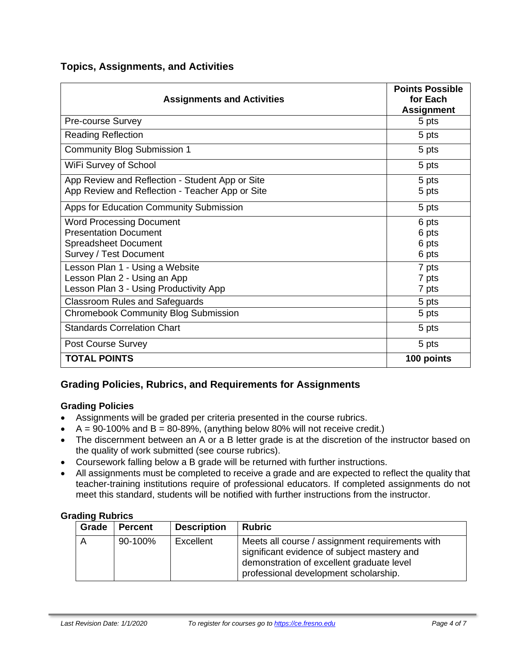# **Topics, Assignments, and Activities**

| <b>Assignments and Activities</b>                                                                  | <b>Points Possible</b><br>for Each<br><b>Assignment</b> |
|----------------------------------------------------------------------------------------------------|---------------------------------------------------------|
| Pre-course Survey                                                                                  | 5 pts                                                   |
| <b>Reading Reflection</b>                                                                          | 5 pts                                                   |
| <b>Community Blog Submission 1</b>                                                                 | 5 pts                                                   |
| WiFi Survey of School                                                                              | 5 pts                                                   |
| App Review and Reflection - Student App or Site<br>App Review and Reflection - Teacher App or Site | 5 pts                                                   |
|                                                                                                    | 5 pts                                                   |
| Apps for Education Community Submission                                                            | 5 pts                                                   |
| <b>Word Processing Document</b>                                                                    | 6 pts                                                   |
| <b>Presentation Document</b>                                                                       | 6 pts                                                   |
| <b>Spreadsheet Document</b>                                                                        | 6 pts                                                   |
| Survey / Test Document                                                                             | 6 pts                                                   |
| Lesson Plan 1 - Using a Website                                                                    | 7 pts                                                   |
| Lesson Plan 2 - Using an App                                                                       | 7 pts                                                   |
| Lesson Plan 3 - Using Productivity App                                                             | 7 pts                                                   |
| <b>Classroom Rules and Safeguards</b>                                                              | 5 pts                                                   |
| <b>Chromebook Community Blog Submission</b>                                                        | 5 pts                                                   |
| <b>Standards Correlation Chart</b>                                                                 | 5 pts                                                   |
| Post Course Survey                                                                                 | 5 pts                                                   |
| <b>TOTAL POINTS</b>                                                                                | 100 points                                              |

# **Grading Policies, Rubrics, and Requirements for Assignments**

#### **Grading Policies**

- Assignments will be graded per criteria presented in the course rubrics.
- $A = 90-100\%$  and  $B = 80-89\%$ , (anything below 80% will not receive credit.)
- The discernment between an A or a B letter grade is at the discretion of the instructor based on the quality of work submitted (see course rubrics).
- Coursework falling below a B grade will be returned with further instructions.
- All assignments must be completed to receive a grade and are expected to reflect the quality that teacher-training institutions require of professional educators. If completed assignments do not meet this standard, students will be notified with further instructions from the instructor.

#### **Grading Rubrics**

| Grade | <b>Percent</b> | <b>Description</b> | <b>Rubric</b>                                                                                                                                                                        |
|-------|----------------|--------------------|--------------------------------------------------------------------------------------------------------------------------------------------------------------------------------------|
|       | 90-100%        | Excellent          | Meets all course / assignment requirements with<br>significant evidence of subject mastery and<br>demonstration of excellent graduate level<br>professional development scholarship. |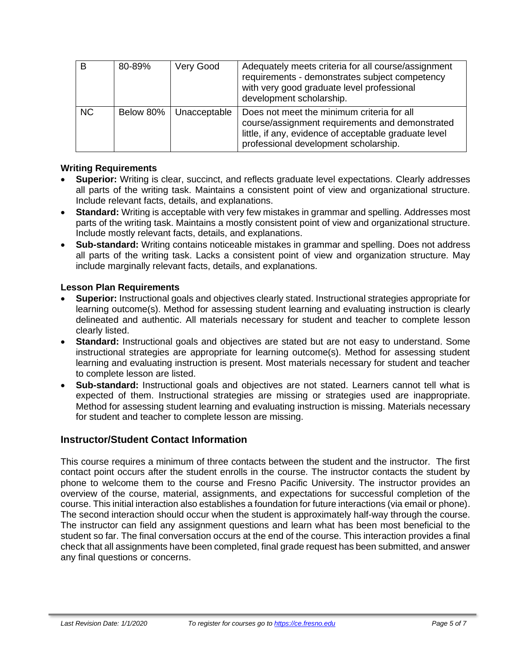| B         | 80-89%    | Very Good    | Adequately meets criteria for all course/assignment<br>requirements - demonstrates subject competency<br>with very good graduate level professional<br>development scholarship.                 |
|-----------|-----------|--------------|-------------------------------------------------------------------------------------------------------------------------------------------------------------------------------------------------|
| <b>NC</b> | Below 80% | Unacceptable | Does not meet the minimum criteria for all<br>course/assignment requirements and demonstrated<br>little, if any, evidence of acceptable graduate level<br>professional development scholarship. |

#### **Writing Requirements**

- **Superior:** Writing is clear, succinct, and reflects graduate level expectations. Clearly addresses all parts of the writing task. Maintains a consistent point of view and organizational structure. Include relevant facts, details, and explanations.
- **Standard:** Writing is acceptable with very few mistakes in grammar and spelling. Addresses most parts of the writing task. Maintains a mostly consistent point of view and organizational structure. Include mostly relevant facts, details, and explanations.
- **Sub-standard:** Writing contains noticeable mistakes in grammar and spelling. Does not address all parts of the writing task. Lacks a consistent point of view and organization structure. May include marginally relevant facts, details, and explanations.

#### **Lesson Plan Requirements**

- **Superior:** Instructional goals and objectives clearly stated. Instructional strategies appropriate for learning outcome(s). Method for assessing student learning and evaluating instruction is clearly delineated and authentic. All materials necessary for student and teacher to complete lesson clearly listed.
- **Standard:** Instructional goals and objectives are stated but are not easy to understand. Some instructional strategies are appropriate for learning outcome(s). Method for assessing student learning and evaluating instruction is present. Most materials necessary for student and teacher to complete lesson are listed.
- **Sub-standard:** Instructional goals and objectives are not stated. Learners cannot tell what is expected of them. Instructional strategies are missing or strategies used are inappropriate. Method for assessing student learning and evaluating instruction is missing. Materials necessary for student and teacher to complete lesson are missing.

## **Instructor/Student Contact Information**

This course requires a minimum of three contacts between the student and the instructor. The first contact point occurs after the student enrolls in the course. The instructor contacts the student by phone to welcome them to the course and Fresno Pacific University. The instructor provides an overview of the course, material, assignments, and expectations for successful completion of the course. This initial interaction also establishes a foundation for future interactions (via email or phone). The second interaction should occur when the student is approximately half-way through the course. The instructor can field any assignment questions and learn what has been most beneficial to the student so far. The final conversation occurs at the end of the course. This interaction provides a final check that all assignments have been completed, final grade request has been submitted, and answer any final questions or concerns.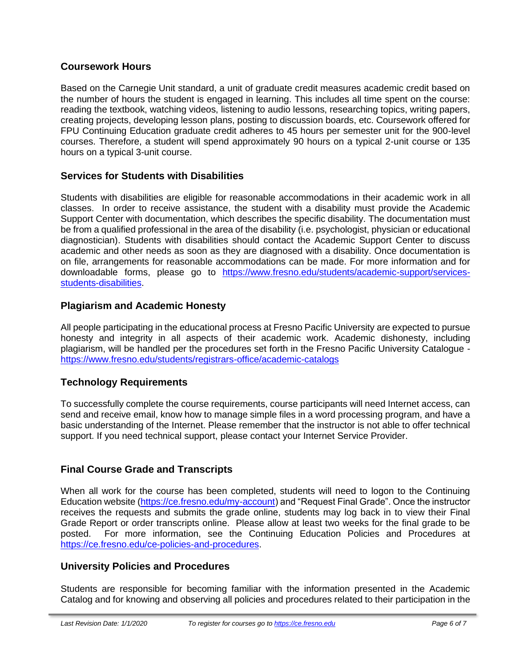## **Coursework Hours**

Based on the Carnegie Unit standard, a unit of graduate credit measures academic credit based on the number of hours the student is engaged in learning. This includes all time spent on the course: reading the textbook, watching videos, listening to audio lessons, researching topics, writing papers, creating projects, developing lesson plans, posting to discussion boards, etc. Coursework offered for FPU Continuing Education graduate credit adheres to 45 hours per semester unit for the 900-level courses. Therefore, a student will spend approximately 90 hours on a typical 2-unit course or 135 hours on a typical 3-unit course.

# **Services for Students with Disabilities**

Students with disabilities are eligible for reasonable accommodations in their academic work in all classes. In order to receive assistance, the student with a disability must provide the Academic Support Center with documentation, which describes the specific disability. The documentation must be from a qualified professional in the area of the disability (i.e. psychologist, physician or educational diagnostician). Students with disabilities should contact the Academic Support Center to discuss academic and other needs as soon as they are diagnosed with a disability. Once documentation is on file, arrangements for reasonable accommodations can be made. For more information and for downloadable forms, please go to [https://www.fresno.edu/students/academic-support/services](https://www.fresno.edu/students/academic-support/services-students-disabilities)[students-disabilities.](https://www.fresno.edu/students/academic-support/services-students-disabilities)

# **Plagiarism and Academic Honesty**

All people participating in the educational process at Fresno Pacific University are expected to pursue honesty and integrity in all aspects of their academic work. Academic dishonesty, including plagiarism, will be handled per the procedures set forth in the Fresno Pacific University Catalogue <https://www.fresno.edu/students/registrars-office/academic-catalogs>

# **Technology Requirements**

To successfully complete the course requirements, course participants will need Internet access, can send and receive email, know how to manage simple files in a word processing program, and have a basic understanding of the Internet. Please remember that the instructor is not able to offer technical support. If you need technical support, please contact your Internet Service Provider.

# **Final Course Grade and Transcripts**

When all work for the course has been completed, students will need to logon to the Continuing Education website [\(https://ce.fresno.edu/my-account\)](https://ce.fresno.edu/my-account) and "Request Final Grade". Once the instructor receives the requests and submits the grade online, students may log back in to view their Final Grade Report or order transcripts online. Please allow at least two weeks for the final grade to be posted. For more information, see the Continuing Education Policies and Procedures at [https://ce.fresno.edu/ce-policies-and-procedures.](https://ce.fresno.edu/ce-policies-and-procedures)

## **University Policies and Procedures**

Students are responsible for becoming familiar with the information presented in the Academic Catalog and for knowing and observing all policies and procedures related to their participation in the